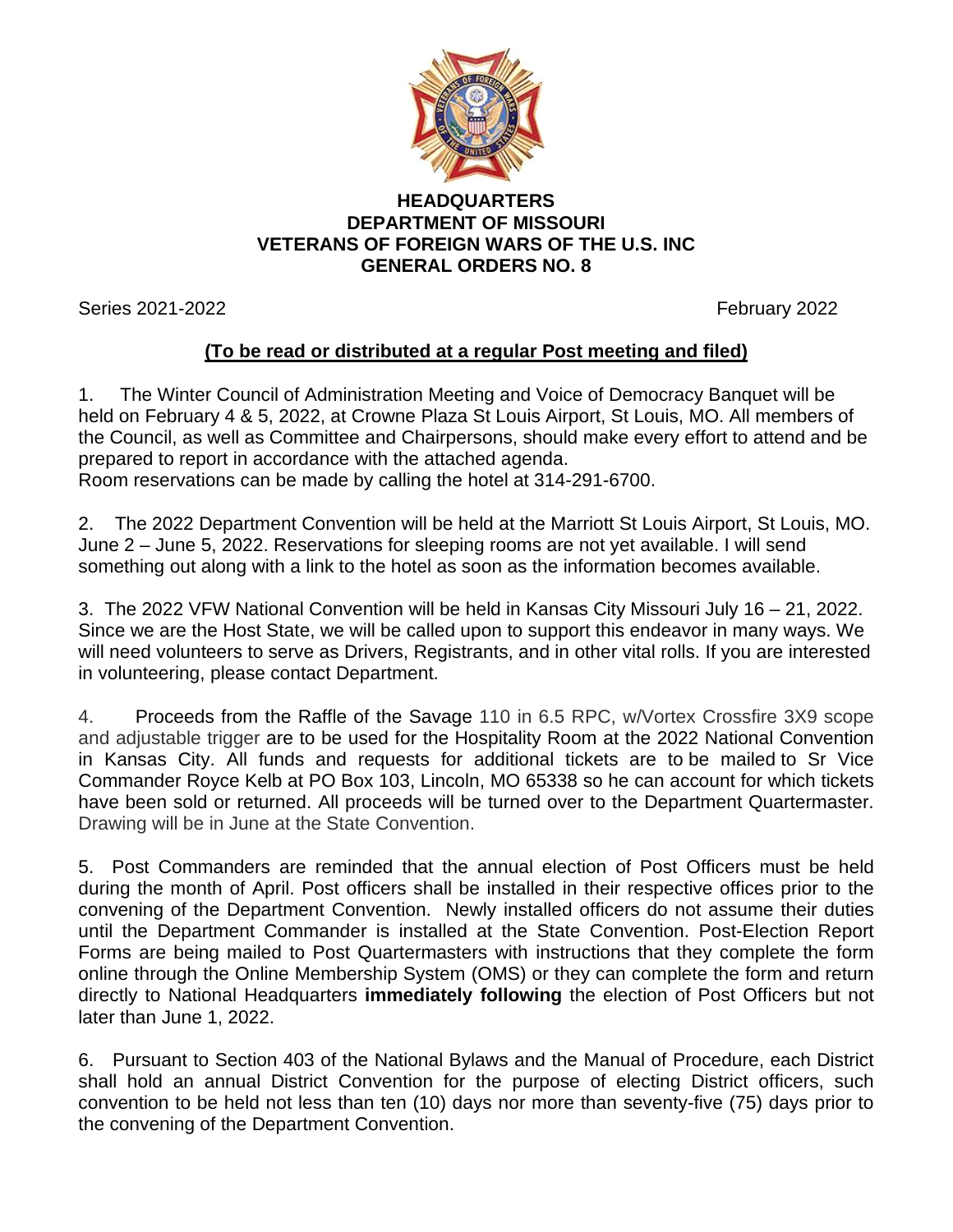

## **HEADQUARTERS DEPARTMENT OF MISSOURI VETERANS OF FOREIGN WARS OF THE U.S. INC GENERAL ORDERS NO. 8**

Series 2021-2022 **February 2022** 

## **(To be read or distributed at a regular Post meeting and filed)**

1. The Winter Council of Administration Meeting and Voice of Democracy Banquet will be held on February 4 & 5, 2022, at Crowne Plaza St Louis Airport, St Louis, MO. All members of the Council, as well as Committee and Chairpersons, should make every effort to attend and be prepared to report in accordance with the attached agenda. Room reservations can be made by calling the hotel at 314-291-6700.

2. The 2022 Department Convention will be held at the Marriott St Louis Airport, St Louis, MO.

June 2 – June 5, 2022. Reservations for sleeping rooms are not yet available. I will send something out along with a link to the hotel as soon as the information becomes available.

3. The 2022 VFW National Convention will be held in Kansas City Missouri July 16 – 21, 2022. Since we are the Host State, we will be called upon to support this endeavor in many ways. We will need volunteers to serve as Drivers, Registrants, and in other vital rolls. If you are interested in volunteering, please contact Department.

4. Proceeds from the Raffle of the Savage 110 in 6.5 RPC, w/Vortex Crossfire 3X9 scope and adjustable trigger are to be used for the Hospitality Room at the 2022 National Convention in Kansas City. All funds and requests for additional tickets are to be mailed to Sr Vice Commander Royce Kelb at PO Box 103, Lincoln, MO 65338 so he can account for which tickets have been sold or returned. All proceeds will be turned over to the Department Quartermaster. Drawing will be in June at the State Convention.

5. Post Commanders are reminded that the annual election of Post Officers must be held during the month of April. Post officers shall be installed in their respective offices prior to the convening of the Department Convention. Newly installed officers do not assume their duties until the Department Commander is installed at the State Convention. Post-Election Report Forms are being mailed to Post Quartermasters with instructions that they complete the form online through the Online Membership System (OMS) or they can complete the form and return directly to National Headquarters **immediately following** the election of Post Officers but not later than June 1, 2022.

6. Pursuant to Section 403 of the National Bylaws and the Manual of Procedure, each District shall hold an annual District Convention for the purpose of electing District officers, such convention to be held not less than ten (10) days nor more than seventy-five (75) days prior to the convening of the Department Convention.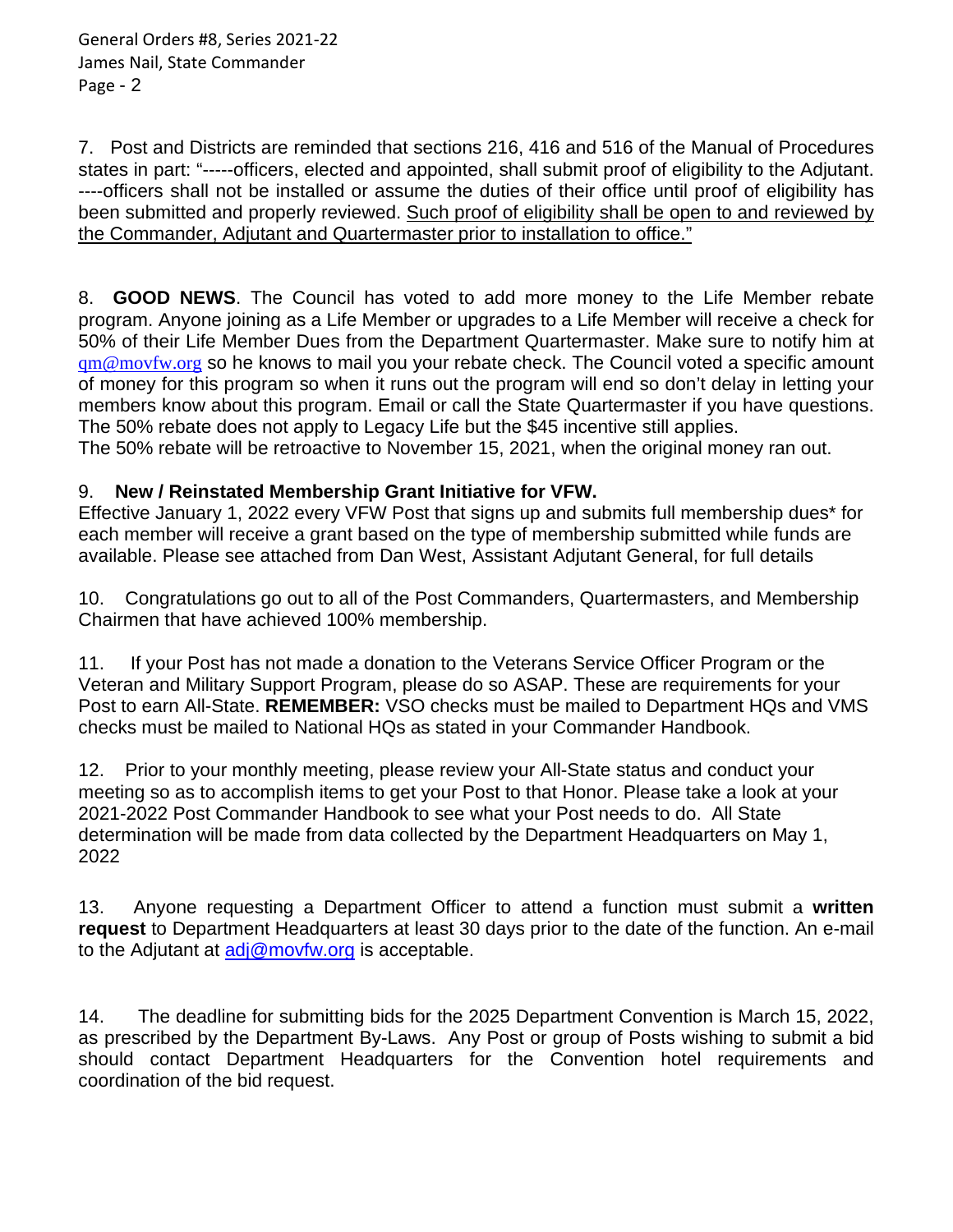7. Post and Districts are reminded that sections 216, 416 and 516 of the Manual of Procedures states in part: "-----officers, elected and appointed, shall submit proof of eligibility to the Adjutant. ----officers shall not be installed or assume the duties of their office until proof of eligibility has been submitted and properly reviewed. Such proof of eligibility shall be open to and reviewed by the Commander, Adjutant and Quartermaster prior to installation to office."

8. **GOOD NEWS**. The Council has voted to add more money to the Life Member rebate program. Anyone joining as a Life Member or upgrades to a Life Member will receive a check for 50% of their Life Member Dues from the Department Quartermaster. Make sure to notify him at [qm@movfw.org](mailto:qm@movfw.org) so he knows to mail you your rebate check. The Council voted a specific amount of money for this program so when it runs out the program will end so don't delay in letting your members know about this program. Email or call the State Quartermaster if you have questions. The 50% rebate does not apply to Legacy Life but the \$45 incentive still applies.

The 50% rebate will be retroactive to November 15, 2021, when the original money ran out.

## 9. **New / Reinstated Membership Grant Initiative for VFW.**

Effective January 1, 2022 every VFW Post that signs up and submits full membership dues\* for each member will receive a grant based on the type of membership submitted while funds are available. Please see attached from Dan West, Assistant Adjutant General, for full details

10.Congratulations go out to all of the Post Commanders, Quartermasters, and Membership Chairmen that have achieved 100% membership.

11. If your Post has not made a donation to the Veterans Service Officer Program or the Veteran and Military Support Program, please do so ASAP. These are requirements for your Post to earn All-State. **REMEMBER:** VSO checks must be mailed to Department HQs and VMS checks must be mailed to National HQs as stated in your Commander Handbook.

12. Prior to your monthly meeting, please review your All-State status and conduct your meeting so as to accomplish items to get your Post to that Honor. Please take a look at your 2021-2022 Post Commander Handbook to see what your Post needs to do. All State determination will be made from data collected by the Department Headquarters on May 1, 2022

13. Anyone requesting a Department Officer to attend a function must submit a **written request** to Department Headquarters at least 30 days prior to the date of the function. An e-mail to the Adjutant at  $\frac{adj@movfw.org}{complement}$  is acceptable.

14. The deadline for submitting bids for the 2025 Department Convention is March 15, 2022, as prescribed by the Department By-Laws. Any Post or group of Posts wishing to submit a bid should contact Department Headquarters for the Convention hotel requirements and coordination of the bid request.